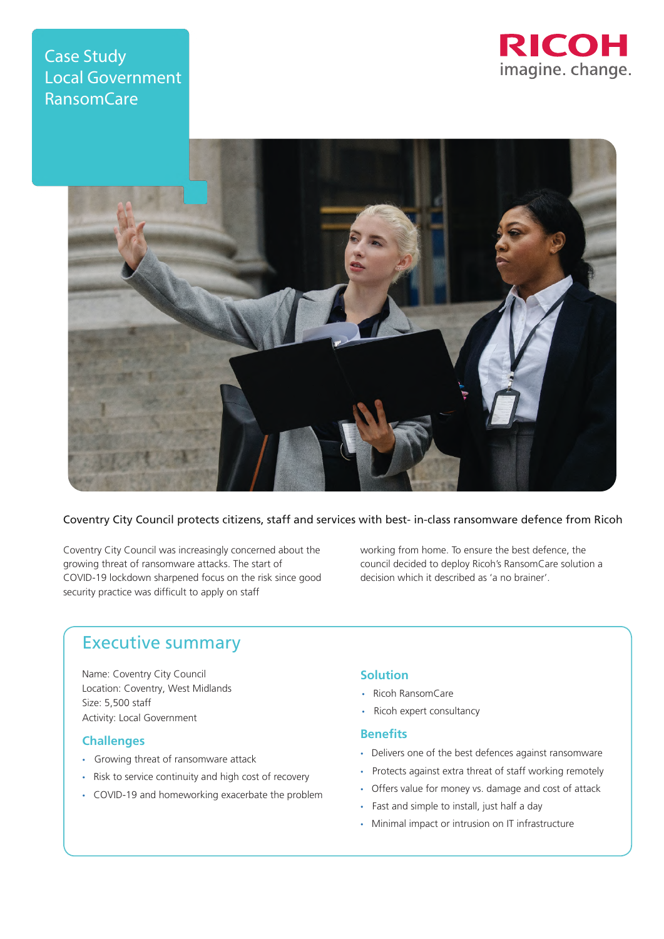# **Case Study** Local Government RansomCare





# Coventry City Council protects citizens, staff and services with best- in-class ransomware defence from Ricoh

Coventry City Council was increasingly concerned about the growing threat of ransomware attacks. The start of COVID-19 lockdown sharpened focus on the risk since good security practice was difficult to apply on staff

working from home. To ensure the best defence, the council decided to deploy Ricoh's RansomCare solution a decision which it described as 'a no brainer'.

# Executive summary

Name: Coventry City Council Location: Coventry, West Midlands Size: 5,500 staff Activity: Local Government

### **Challenges**

- Growing threat of ransomware attack
- Risk to service continuity and high cost of recovery
- COVID-19 and homeworking exacerbate the problem

#### **Solution**

- Ricoh RansomCare
- Ricoh expert consultancy

#### **Benefits**

- Delivers one of the best defences against ransomware
- Protects against extra threat of staff working remotely
- Offers value for money vs. damage and cost of attack
- Fast and simple to install, just half a day
- Minimal impact or intrusion on IT infrastructure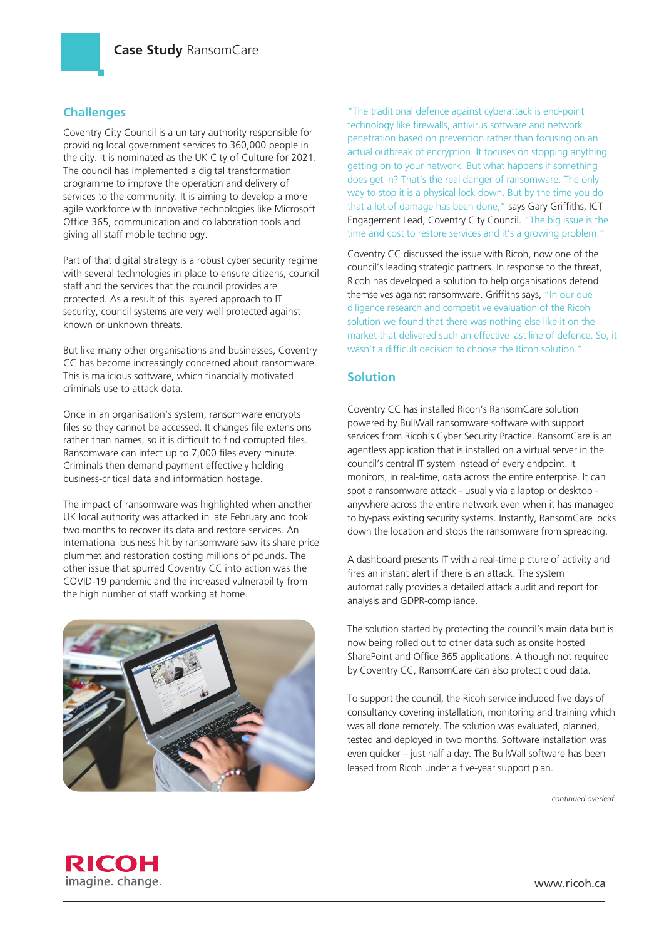# **Challenges**

Coventry City Council is a unitary authority responsible for providing local government services to 360,000 people in the city. It is nominated as the UK City of Culture for 2021. The council has implemented a digital transformation programme to improve the operation and delivery of services to the community. It is aiming to develop a more agile workforce with innovative technologies like Microsoft Office 365, communication and collaboration tools and giving all staff mobile technology.

Part of that digital strategy is a robust cyber security regime with several technologies in place to ensure citizens, council staff and the services that the council provides are protected. As a result of this layered approach to IT security, council systems are very well protected against known or unknown threats.

But like many other organisations and businesses, Coventry CC has become increasingly concerned about ransomware. This is malicious software, which financially motivated criminals use to attack data.

Once in an organisation's system, ransomware encrypts files so they cannot be accessed. It changes file extensions rather than names, so it is difficult to find corrupted files. Ransomware can infect up to 7,000 files every minute. Criminals then demand payment effectively holding business-critical data and information hostage.

The impact of ransomware was highlighted when another UK local authority was attacked in late February and took two months to recover its data and restore services. An international business hit by ransomware saw its share price plummet and restoration costing millions of pounds. The other issue that spurred Coventry CC into action was the COVID-19 pandemic and the increased vulnerability from the high number of staff working at home.



"The traditional defence against cyberattack is end-point technology like firewalls, antivirus software and network penetration based on prevention rather than focusing on an actual outbreak of encryption. It focuses on stopping anything getting on to your network. But what happens if something does get in? That's the real danger of ransomware. The only way to stop it is a physical lock down. But by the time you do that a lot of damage has been done," says Gary Griffiths, ICT Engagement Lead, Coventry City Council. "The big issue is the time and cost to restore services and it's a growing problem."

Coventry CC discussed the issue with Ricoh, now one of the council's leading strategic partners. In response to the threat, Ricoh has developed a solution to help organisations defend themselves against ransomware. Griffiths says, "In our due diligence research and competitive evaluation of the Ricoh solution we found that there was nothing else like it on the market that delivered such an effective last line of defence. So, it wasn't a difficult decision to choose the Ricoh solution."

## **Solution**

Coventry CC has installed Ricoh's RansomCare solution powered by BullWall ransomware software with support services from Ricoh's Cyber Security Practice. RansomCare is an agentless application that is installed on a virtual server in the council's central IT system instead of every endpoint. It monitors, in real-time, data across the entire enterprise. It can spot a ransomware attack - usually via a laptop or desktop anywhere across the entire network even when it has managed to by-pass existing security systems. Instantly, RansomCare locks down the location and stops the ransomware from spreading.

A dashboard presents IT with a real-time picture of activity and fires an instant alert if there is an attack. The system automatically provides a detailed attack audit and report for analysis and GDPR-compliance.

The solution started by protecting the council's main data but is now being rolled out to other data such as onsite hosted SharePoint and Office 365 applications. Although not required by Coventry CC, RansomCare can also protect cloud data.

To support the council, the Ricoh service included five days of consultancy covering installation, monitoring and training which was all done remotely. The solution was evaluated, planned, tested and deployed in two months. Software installation was even quicker – just half a day. The BullWall software has been leased from Ricoh under a five-year support plan.

*continued overleaf*